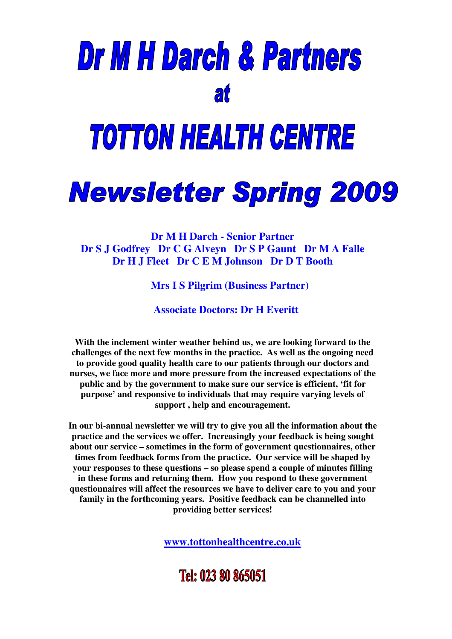# Dr M H Darch & Partners at

## **TOTTON HEALTH CENTRE**

### **Newsletter Spring 2009**

**Dr M H Darch - Senior Partner Dr S J Godfrey Dr C G Alveyn Dr S P Gaunt Dr M A Falle Dr H J Fleet Dr C E M Johnson Dr D T Booth**

**Mrs I S Pilgrim (Business Partner)**

**Associate Doctors: Dr H Everitt**

**With the inclement winter weather behind us, we are looking forward to the challenges of the next few months in the practice. As well as the ongoing need to provide good quality health care to our patients through our doctors and nurses, we face more and more pressure from the increased expectations of the public and by the government to make sure our service is efficient, 'fit for purpose' and responsive to individuals that may require varying levels of support , help and encouragement.**

**In our bi-annual newsletter we will try to give you all the information about the practice and the services we offer. Increasingly your feedback is being sought about our service – sometimes in the form of government questionnaires, other times from feedback forms from the practice. Our service will be shaped by your responses to these questions – so please spend a couple of minutes filling in these forms and returning them. How you respond to these government questionnaires will affect the resources we have to deliver care to you and your family in the forthcoming years. Positive feedback can be channelled into providing better services!**

**www.tottonhealthcentre.co.uk**

### Tel: 023 80 865051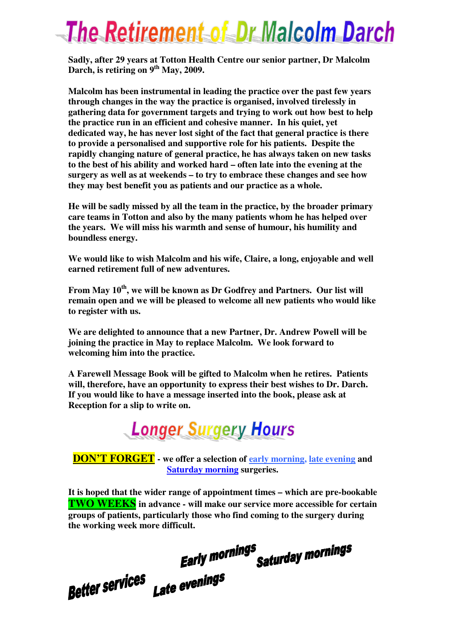### **The Retirement of Dr Malcolm Darch**

**Sadly, after 29 years at Totton Health Centre our senior partner, Dr Malcolm Darch, is retiring on 9 th May, 2009.**

**Malcolm has been instrumental in leading the practice over the past few years through changes in the way the practice is organised, involved tirelessly in gathering data for government targets and trying to work out how best to help the practice run in an efficient and cohesive manner. In his quiet, yet dedicated way, he has never lost sight of the fact that general practice is there to provide a personalised and supportive role for his patients. Despite the rapidly changing nature of general practice, he has always taken on new tasks to the best of his ability and worked hard – often late into the evening at the surgery as well as at weekends – to try to embrace these changes and see how they may best benefit you as patients and our practice as a whole.**

**He will be sadly missed by all the team in the practice, by the broader primary care teams in Totton and also by the many patients whom he has helped over the years. We will miss his warmth and sense of humour, his humility and boundless energy.**

**We would like to wish Malcolm and his wife, Claire, a long, enjoyable and well earned retirement full of new adventures.**

**From May 10 th , we will be known as Dr Godfrey and Partners. Our list will remain open and we will be pleased to welcome all new patients who would like to register with us.**

**We are delighted to announce that a new Partner, Dr. Andrew Powell will be joining the practice in May to replace Malcolm. We look forward to welcoming him into the practice.**

**A Farewell Message Book will be gifted to Malcolm when he retires. Patients will, therefore, have an opportunity to express their best wishes to Dr. Darch. If you would like to have a message inserted into the book, please ask at Reception for a slip to write on.**



**DON'T FORGET - we offer a selection of early morning, late evening and Saturday morning surgeries.**

**It is hoped that the wider range of appointment times – which are pre-bookable TWO WEEKS in advance - will make our service more accessible for certain groups of patients, particularly those who find coming to the surgery during the working week more difficult.**

s<br>Saturday mornings **Early mornings** 

Late evenings **Better services**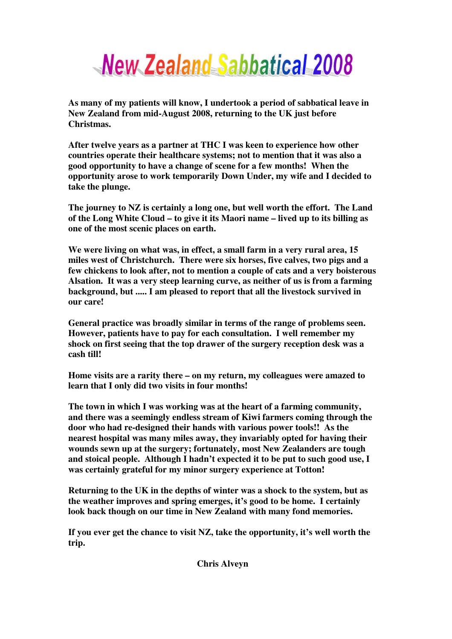

**As many of my patients will know, I undertook a period of sabbatical leave in New Zealand from mid-August 2008, returning to the UK just before Christmas.**

**After twelve years as a partner at THC I was keen to experience how other countries operate their healthcare systems; not to mention that it was also a good opportunity to have a change of scene for a few months! When the opportunity arose to work temporarily Down Under, my wife and I decided to take the plunge.**

**The journey to NZ is certainly a long one, but well worth the effort. The Land of the Long White Cloud – to give it its Maori name – lived up to its billing as one of the most scenic places on earth.**

**We were living on what was, in effect, a small farm in a very rural area, 15 miles west of Christchurch. There were six horses, five calves, two pigs and a few chickens to look after, not to mention a couple of cats and a very boisterous Alsation. It was a very steep learning curve, as neither of us is from a farming background, but ..... I am pleased to report that all the livestock survived in our care!**

**General practice was broadly similar in terms of the range of problems seen. However, patients have to pay for each consultation. I well remember my shock on first seeing that the top drawer of the surgery reception desk was a cash till!**

**Home visits are a rarity there – on my return, my colleagues were amazed to learn that I only did two visits in four months!**

**The town in which I was working was at the heart of a farming community, and there was a seemingly endless stream of Kiwi farmers coming through the door who had re-designed their hands with various power tools!! As the nearest hospital was many miles away, they invariably opted for having their wounds sewn up at the surgery; fortunately, most New Zealanders are tough and stoical people. Although I hadn't expected it to be put to such good use, I was certainly grateful for my minor surgery experience at Totton!**

**Returning to the UK in the depths of winter was a shock to the system, but as the weather improves and spring emerges, it's good to be home. I certainly look back though on our time in New Zealand with many fond memories.**

**If you ever get the chance to visit NZ, take the opportunity, it's well worth the trip.**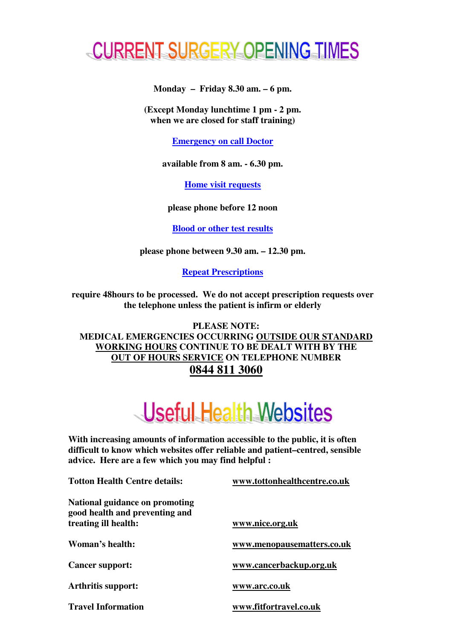

**Monday – Friday 8.30 am. – 6 pm.**

**(Except Monday lunchtime 1 pm - 2 pm. when we are closed for staff training)**

**Emergency on call Doctor**

**available from 8 am. - 6.30 pm.**

**Home visit requests**

**please phone before 12 noon**

**Blood or other test results**

**please phone between 9.30 am. – 12.30 pm.**

**Repeat Prescriptions**

**require 48hours to be processed. We do not accept prescription requests over the telephone unless the patient is infirm or elderly**

**PLEASE NOTE: MEDICAL EMERGENCIES OCCURRING OUTSIDE OUR STANDARD WORKING HOURS CONTINUE TO BE DEALT WITH BY THE OUT OF HOURS SERVICE ON TELEPHONE NUMBER 0844 811 3060**

### Useful Health Websites

**With increasing amounts of information accessible to the public, it is often difficult to know which websites offer reliable and patient–centred, sensible advice. Here are a few which you may find helpful :**

**Totton Health Centre details: www.tottonhealthcentre.co.uk National guidance on promoting good health and preventing and treating ill health: www.nice.org.uk Woman's health: www.menopausematters.co.uk Cancer support: www.cancerbackup.org.uk Arthritis support: www.arc.co.uk Travel Information www.fitfortravel.co.uk**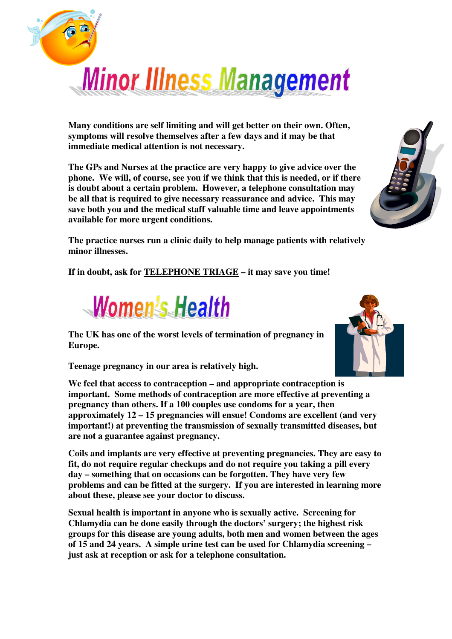

**Many conditions are self limiting and will get better on their own. Often, symptoms will resolve themselves after a few days and it may be that immediate medical attention is not necessary.**

**The GPs and Nurses at the practice are very happy to give advice over the phone. We will, of course, see you if we think that this is needed, or if there is doubt about a certain problem. However, a telephone consultation may be all that is required to give necessary reassurance and advice. This may save both you and the medical staff valuable time and leave appointments available for more urgent conditions.**



**The practice nurses run a clinic daily to help manage patients with relatively minor illnesses.**

**If in doubt, ask for TELEPHONE TRIAGE – it may save you time!**



**The UK has one of the worst levels of termination of pregnancy in Europe.**



**Teenage pregnancy in our area is relatively high.**

**We feel that access to contraception – and appropriate contraception is important. Some methods of contraception are more effective at preventing a pregnancy than others. If a 100 couples use condoms for a year, then approximately 12 – 15 pregnancies will ensue! Condoms are excellent (and very important!) at preventing the transmission of sexually transmitted diseases, but are not a guarantee against pregnancy.**

**Coils and implants are very effective at preventing pregnancies. They are easy to fit, do not require regular checkups and do not require you taking a pill every day – something that on occasions can be forgotten. They have very few problems and can be fitted at the surgery. If you are interested in learning more about these, please see your doctor to discuss.**

**Sexual health is important in anyone who is sexually active. Screening for Chlamydia can be done easily through the doctors' surgery; the highest risk groups for this disease are young adults, both men and women between the ages of 15 and 24 years. A simple urine test can be used for Chlamydia screening – just ask at reception or ask for a telephone consultation.**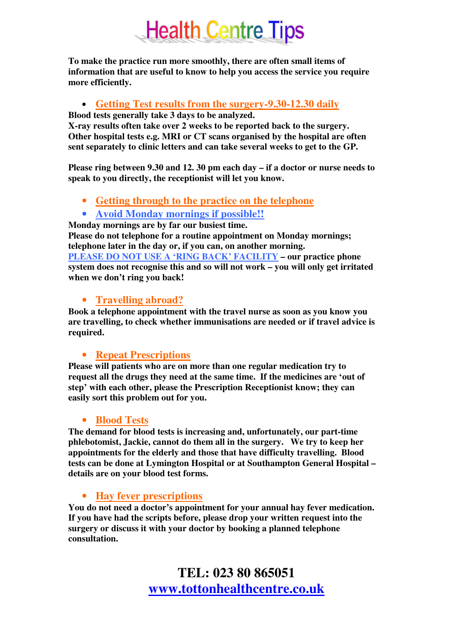### **Health Centre Tips**

**To make the practice run more smoothly, there are often small items of information that are useful to know to help you access the service you require more efficiently.**

#### • **Getting Test results from the surgery-9.30-12.30 daily**

**Blood tests generally take 3 days to be analyzed.**

**X-ray results often take over 2 weeks to be reported back to the surgery. Other hospital tests e.g. MRI or CT scans organised by the hospital are often sent separately to clinic letters and can take several weeks to get to the GP.**

**Please ring between 9.30 and 12. 30 pm each day – if a doctor or nurse needs to speak to you directly, the receptionist will let you know.**

• **Getting through to the practice on the telephone**

#### • **Avoid Monday mornings if possible!!**

**Monday mornings are by far our busiest time.**

**Please do not telephone for a routine appointment on Monday mornings; telephone later in the day or, if you can, on another morning. PLEASE DO NOT USE A 'RING BACK' FACILITY – our practice phone system does not recognise this and so will not work – you will only get irritated when we don't ring you back!**

#### • **Travelling abroad?**

**Book a telephone appointment with the travel nurse as soon as you know you are travelling, to check whether immunisations are needed or if travel advice is required.**

#### • **Repeat Prescriptions**

**Please will patients who are on more than one regular medication try to request all the drugs they need at the same time. If the medicines are 'out of step' with each other, please the Prescription Receptionist know; they can easily sort this problem out for you.**

#### • **Blood Tests**

**The demand for blood tests is increasing and, unfortunately, our part-time phlebotomist, Jackie, cannot do them all in the surgery. We try to keep her appointments for the elderly and those that have difficulty travelling. Blood tests can be done at Lymington Hospital or at Southampton General Hospital – details are on your blood test forms.**

#### • **Hay fever prescriptions**

**You do not need a doctor's appointment for your annual hay fever medication. If you have had the scripts before, please drop your written request into the surgery or discuss it with your doctor by booking a planned telephone consultation.**

> **TEL: 023 80 865051 www.tottonhealthcentre.co.uk**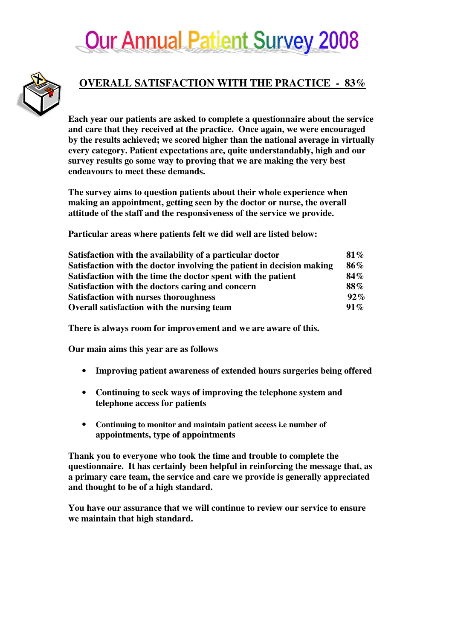### **Our Annual Patient Survey 2008**



#### **OVERALL SATISFACTION WITH THE PRACTICE - 83%**

**Each year our patients are asked to complete a questionnaire about the service and care that they received at the practice. Once again, we were encouraged by the results achieved; we scored higher than the national average in virtually every category. Patient expectations are, quite understandably, high and our survey results go some way to proving that we are making the very best endeavours to meet these demands.**

**The survey aims to question patients about their whole experience when making an appointment, getting seen by the doctor or nurse, the overall attitude of the staff and the responsiveness of the service we provide.**

**Particular areas where patients felt we did well are listed below:**

| Satisfaction with the availability of a particular doctor<br>Satisfaction with the doctor involving the patient in decision making<br>Satisfaction with the time the doctor spent with the patient<br>Satisfaction with the doctors caring and concern<br><b>Satisfaction with nurses thoroughness</b><br>Overall satisfaction with the nursing team | $81\%$<br>86%<br>$84\%$<br>88%<br>$92\%$<br>$91\%$ |
|------------------------------------------------------------------------------------------------------------------------------------------------------------------------------------------------------------------------------------------------------------------------------------------------------------------------------------------------------|----------------------------------------------------|
|------------------------------------------------------------------------------------------------------------------------------------------------------------------------------------------------------------------------------------------------------------------------------------------------------------------------------------------------------|----------------------------------------------------|

**There is always room for improvement and we are aware of this.**

**Our main aims this year are as follows**

- **Improving patient awareness of extended hours surgeries being offered**
- **Continuing to seek ways of improving the telephone system and telephone access for patients**
- **Continuing to monitor and maintain patient access i.e number of appointments, type of appointments**

**Thank you to everyone who took the time and trouble to complete the questionnaire. It has certainly been helpful in reinforcing the message that, as a primary care team, the service and care we provide is generally appreciated and thought to be of a high standard.**

**You have our assurance that we will continue to review our service to ensure we maintain that high standard.**